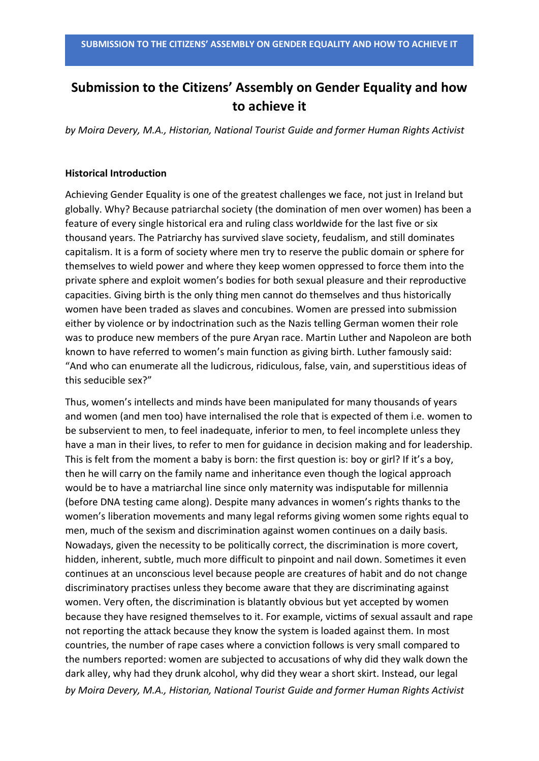# **Submission to the Citizens' Assembly on Gender Equality and how to achieve it**

*by Moira Devery, M.A., Historian, National Tourist Guide and former Human Rights Activist*

# **Historical Introduction**

Achieving Gender Equality is one of the greatest challenges we face, not just in Ireland but globally. Why? Because patriarchal society (the domination of men over women) has been a feature of every single historical era and ruling class worldwide for the last five or six thousand years. The Patriarchy has survived slave society, feudalism, and still dominates capitalism. It is a form of society where men try to reserve the public domain or sphere for themselves to wield power and where they keep women oppressed to force them into the private sphere and exploit women's bodies for both sexual pleasure and their reproductive capacities. Giving birth is the only thing men cannot do themselves and thus historically women have been traded as slaves and concubines. Women are pressed into submission either by violence or by indoctrination such as the Nazis telling German women their role was to produce new members of the pure Aryan race. Martin Luther and Napoleon are both known to have referred to women's main function as giving birth. Luther famously said: "And who can enumerate all the ludicrous, ridiculous, false, vain, and superstitious ideas of this seducible sex?"

*by Moira Devery, M.A., Historian, National Tourist Guide and former Human Rights Activist* Thus, women's intellects and minds have been manipulated for many thousands of years and women (and men too) have internalised the role that is expected of them i.e. women to be subservient to men, to feel inadequate, inferior to men, to feel incomplete unless they have a man in their lives, to refer to men for guidance in decision making and for leadership. This is felt from the moment a baby is born: the first question is: boy or girl? If it's a boy, then he will carry on the family name and inheritance even though the logical approach would be to have a matriarchal line since only maternity was indisputable for millennia (before DNA testing came along). Despite many advances in women's rights thanks to the women's liberation movements and many legal reforms giving women some rights equal to men, much of the sexism and discrimination against women continues on a daily basis. Nowadays, given the necessity to be politically correct, the discrimination is more covert, hidden, inherent, subtle, much more difficult to pinpoint and nail down. Sometimes it even continues at an unconscious level because people are creatures of habit and do not change discriminatory practises unless they become aware that they are discriminating against women. Very often, the discrimination is blatantly obvious but yet accepted by women because they have resigned themselves to it. For example, victims of sexual assault and rape not reporting the attack because they know the system is loaded against them. In most countries, the number of rape cases where a conviction follows is very small compared to the numbers reported: women are subjected to accusations of why did they walk down the dark alley, why had they drunk alcohol, why did they wear a short skirt. Instead, our legal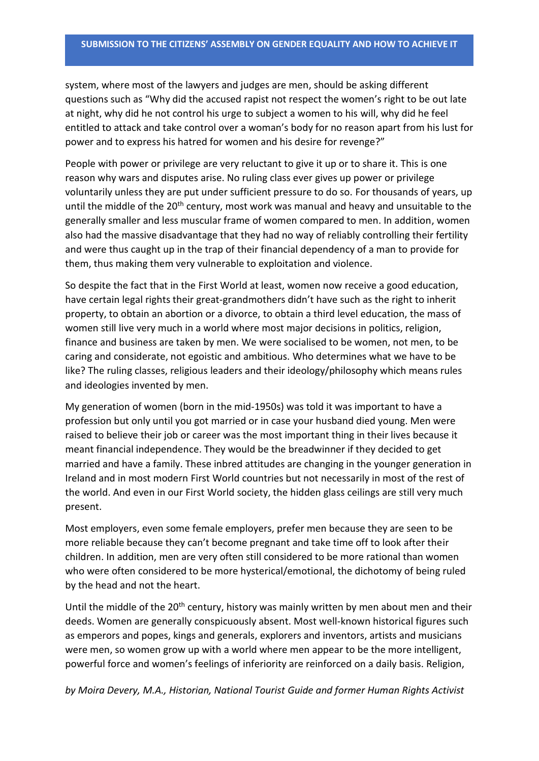system, where most of the lawyers and judges are men, should be asking different questions such as "Why did the accused rapist not respect the women's right to be out late at night, why did he not control his urge to subject a women to his will, why did he feel entitled to attack and take control over a woman's body for no reason apart from his lust for power and to express his hatred for women and his desire for revenge?"

People with power or privilege are very reluctant to give it up or to share it. This is one reason why wars and disputes arise. No ruling class ever gives up power or privilege voluntarily unless they are put under sufficient pressure to do so. For thousands of years, up until the middle of the 20<sup>th</sup> century, most work was manual and heavy and unsuitable to the generally smaller and less muscular frame of women compared to men. In addition, women also had the massive disadvantage that they had no way of reliably controlling their fertility and were thus caught up in the trap of their financial dependency of a man to provide for them, thus making them very vulnerable to exploitation and violence.

So despite the fact that in the First World at least, women now receive a good education, have certain legal rights their great-grandmothers didn't have such as the right to inherit property, to obtain an abortion or a divorce, to obtain a third level education, the mass of women still live very much in a world where most major decisions in politics, religion, finance and business are taken by men. We were socialised to be women, not men, to be caring and considerate, not egoistic and ambitious. Who determines what we have to be like? The ruling classes, religious leaders and their ideology/philosophy which means rules and ideologies invented by men.

My generation of women (born in the mid-1950s) was told it was important to have a profession but only until you got married or in case your husband died young. Men were raised to believe their job or career was the most important thing in their lives because it meant financial independence. They would be the breadwinner if they decided to get married and have a family. These inbred attitudes are changing in the younger generation in Ireland and in most modern First World countries but not necessarily in most of the rest of the world. And even in our First World society, the hidden glass ceilings are still very much present.

Most employers, even some female employers, prefer men because they are seen to be more reliable because they can't become pregnant and take time off to look after their children. In addition, men are very often still considered to be more rational than women who were often considered to be more hysterical/emotional, the dichotomy of being ruled by the head and not the heart.

Until the middle of the 20<sup>th</sup> century, history was mainly written by men about men and their deeds. Women are generally conspicuously absent. Most well-known historical figures such as emperors and popes, kings and generals, explorers and inventors, artists and musicians were men, so women grow up with a world where men appear to be the more intelligent, powerful force and women's feelings of inferiority are reinforced on a daily basis. Religion,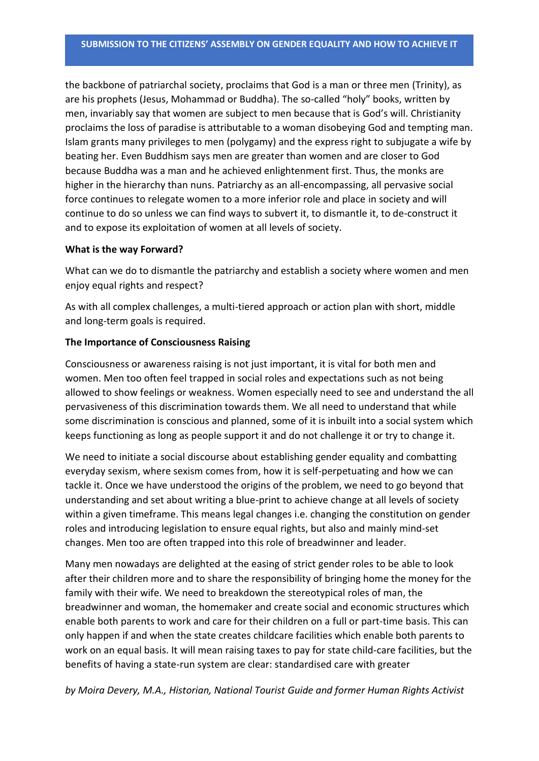the backbone of patriarchal society, proclaims that God is a man or three men (Trinity), as are his prophets (Jesus, Mohammad or Buddha). The so-called "holy" books, written by men, invariably say that women are subject to men because that is God's will. Christianity proclaims the loss of paradise is attributable to a woman disobeying God and tempting man. Islam grants many privileges to men (polygamy) and the express right to subjugate a wife by beating her. Even Buddhism says men are greater than women and are closer to God because Buddha was a man and he achieved enlightenment first. Thus, the monks are higher in the hierarchy than nuns. Patriarchy as an all-encompassing, all pervasive social force continues to relegate women to a more inferior role and place in society and will continue to do so unless we can find ways to subvert it, to dismantle it, to de-construct it and to expose its exploitation of women at all levels of society.

#### **What is the way Forward?**

What can we do to dismantle the patriarchy and establish a society where women and men enjoy equal rights and respect?

As with all complex challenges, a multi-tiered approach or action plan with short, middle and long-term goals is required.

## **The Importance of Consciousness Raising**

Consciousness or awareness raising is not just important, it is vital for both men and women. Men too often feel trapped in social roles and expectations such as not being allowed to show feelings or weakness. Women especially need to see and understand the all pervasiveness of this discrimination towards them. We all need to understand that while some discrimination is conscious and planned, some of it is inbuilt into a social system which keeps functioning as long as people support it and do not challenge it or try to change it.

We need to initiate a social discourse about establishing gender equality and combatting everyday sexism, where sexism comes from, how it is self-perpetuating and how we can tackle it. Once we have understood the origins of the problem, we need to go beyond that understanding and set about writing a blue-print to achieve change at all levels of society within a given timeframe. This means legal changes i.e. changing the constitution on gender roles and introducing legislation to ensure equal rights, but also and mainly mind-set changes. Men too are often trapped into this role of breadwinner and leader.

Many men nowadays are delighted at the easing of strict gender roles to be able to look after their children more and to share the responsibility of bringing home the money for the family with their wife. We need to breakdown the stereotypical roles of man, the breadwinner and woman, the homemaker and create social and economic structures which enable both parents to work and care for their children on a full or part-time basis. This can only happen if and when the state creates childcare facilities which enable both parents to work on an equal basis. It will mean raising taxes to pay for state child-care facilities, but the benefits of having a state-run system are clear: standardised care with greater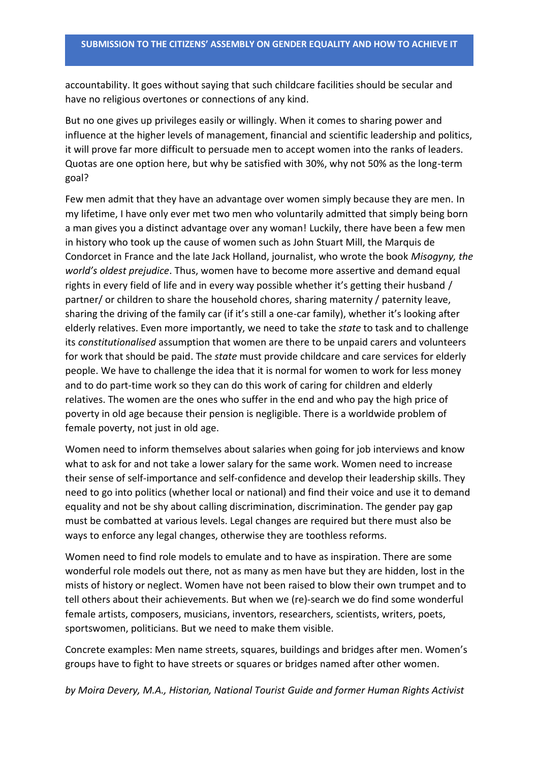accountability. It goes without saying that such childcare facilities should be secular and have no religious overtones or connections of any kind.

But no one gives up privileges easily or willingly. When it comes to sharing power and influence at the higher levels of management, financial and scientific leadership and politics, it will prove far more difficult to persuade men to accept women into the ranks of leaders. Quotas are one option here, but why be satisfied with 30%, why not 50% as the long-term goal?

Few men admit that they have an advantage over women simply because they are men. In my lifetime, I have only ever met two men who voluntarily admitted that simply being born a man gives you a distinct advantage over any woman! Luckily, there have been a few men in history who took up the cause of women such as John Stuart Mill, the Marquis de Condorcet in France and the late Jack Holland, journalist, who wrote the book *Misogyny, the world's oldest prejudice*. Thus, women have to become more assertive and demand equal rights in every field of life and in every way possible whether it's getting their husband / partner/ or children to share the household chores, sharing maternity / paternity leave, sharing the driving of the family car (if it's still a one-car family), whether it's looking after elderly relatives. Even more importantly, we need to take the *state* to task and to challenge its *constitutionalised* assumption that women are there to be unpaid carers and volunteers for work that should be paid. The *state* must provide childcare and care services for elderly people. We have to challenge the idea that it is normal for women to work for less money and to do part-time work so they can do this work of caring for children and elderly relatives. The women are the ones who suffer in the end and who pay the high price of poverty in old age because their pension is negligible. There is a worldwide problem of female poverty, not just in old age.

Women need to inform themselves about salaries when going for job interviews and know what to ask for and not take a lower salary for the same work. Women need to increase their sense of self-importance and self-confidence and develop their leadership skills. They need to go into politics (whether local or national) and find their voice and use it to demand equality and not be shy about calling discrimination, discrimination. The gender pay gap must be combatted at various levels. Legal changes are required but there must also be ways to enforce any legal changes, otherwise they are toothless reforms.

Women need to find role models to emulate and to have as inspiration. There are some wonderful role models out there, not as many as men have but they are hidden, lost in the mists of history or neglect. Women have not been raised to blow their own trumpet and to tell others about their achievements. But when we (re)-search we do find some wonderful female artists, composers, musicians, inventors, researchers, scientists, writers, poets, sportswomen, politicians. But we need to make them visible.

Concrete examples: Men name streets, squares, buildings and bridges after men. Women's groups have to fight to have streets or squares or bridges named after other women.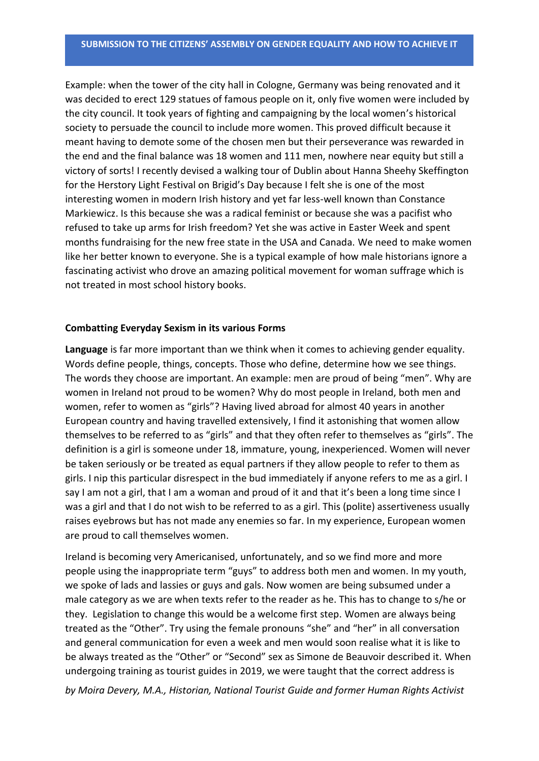Example: when the tower of the city hall in Cologne, Germany was being renovated and it was decided to erect 129 statues of famous people on it, only five women were included by the city council. It took years of fighting and campaigning by the local women's historical society to persuade the council to include more women. This proved difficult because it meant having to demote some of the chosen men but their perseverance was rewarded in the end and the final balance was 18 women and 111 men, nowhere near equity but still a victory of sorts! I recently devised a walking tour of Dublin about Hanna Sheehy Skeffington for the Herstory Light Festival on Brigid's Day because I felt she is one of the most interesting women in modern Irish history and yet far less-well known than Constance Markiewicz. Is this because she was a radical feminist or because she was a pacifist who refused to take up arms for Irish freedom? Yet she was active in Easter Week and spent months fundraising for the new free state in the USA and Canada. We need to make women like her better known to everyone. She is a typical example of how male historians ignore a fascinating activist who drove an amazing political movement for woman suffrage which is not treated in most school history books.

### **Combatting Everyday Sexism in its various Forms**

**Language** is far more important than we think when it comes to achieving gender equality. Words define people, things, concepts. Those who define, determine how we see things. The words they choose are important. An example: men are proud of being "men". Why are women in Ireland not proud to be women? Why do most people in Ireland, both men and women, refer to women as "girls"? Having lived abroad for almost 40 years in another European country and having travelled extensively, I find it astonishing that women allow themselves to be referred to as "girls" and that they often refer to themselves as "girls". The definition is a girl is someone under 18, immature, young, inexperienced. Women will never be taken seriously or be treated as equal partners if they allow people to refer to them as girls. I nip this particular disrespect in the bud immediately if anyone refers to me as a girl. I say I am not a girl, that I am a woman and proud of it and that it's been a long time since I was a girl and that I do not wish to be referred to as a girl. This (polite) assertiveness usually raises eyebrows but has not made any enemies so far. In my experience, European women are proud to call themselves women.

Ireland is becoming very Americanised, unfortunately, and so we find more and more people using the inappropriate term "guys" to address both men and women. In my youth, we spoke of lads and lassies or guys and gals. Now women are being subsumed under a male category as we are when texts refer to the reader as he. This has to change to s/he or they. Legislation to change this would be a welcome first step. Women are always being treated as the "Other". Try using the female pronouns "she" and "her" in all conversation and general communication for even a week and men would soon realise what it is like to be always treated as the "Other" or "Second" sex as Simone de Beauvoir described it. When undergoing training as tourist guides in 2019, we were taught that the correct address is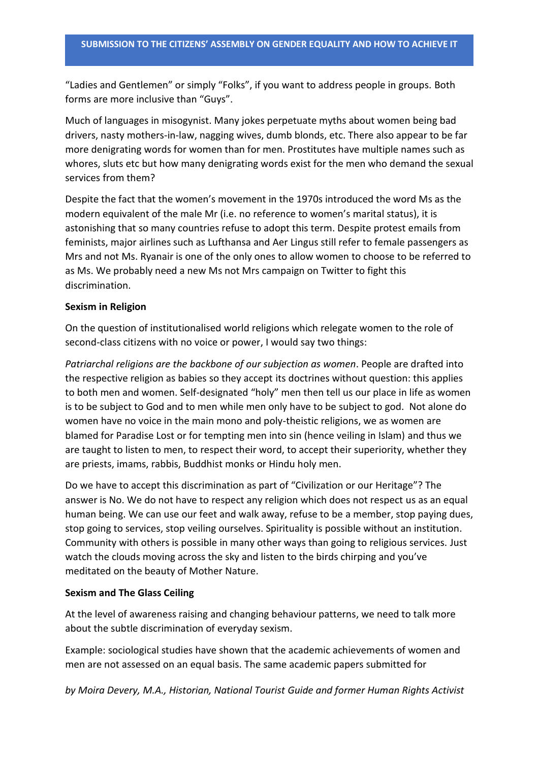"Ladies and Gentlemen" or simply "Folks", if you want to address people in groups. Both forms are more inclusive than "Guys".

Much of languages in misogynist. Many jokes perpetuate myths about women being bad drivers, nasty mothers-in-law, nagging wives, dumb blonds, etc. There also appear to be far more denigrating words for women than for men. Prostitutes have multiple names such as whores, sluts etc but how many denigrating words exist for the men who demand the sexual services from them?

Despite the fact that the women's movement in the 1970s introduced the word Ms as the modern equivalent of the male Mr (i.e. no reference to women's marital status), it is astonishing that so many countries refuse to adopt this term. Despite protest emails from feminists, major airlines such as Lufthansa and Aer Lingus still refer to female passengers as Mrs and not Ms. Ryanair is one of the only ones to allow women to choose to be referred to as Ms. We probably need a new Ms not Mrs campaign on Twitter to fight this discrimination.

### **Sexism in Religion**

On the question of institutionalised world religions which relegate women to the role of second-class citizens with no voice or power, I would say two things:

*Patriarchal religions are the backbone of our subjection as women*. People are drafted into the respective religion as babies so they accept its doctrines without question: this applies to both men and women. Self-designated "holy" men then tell us our place in life as women is to be subject to God and to men while men only have to be subject to god. Not alone do women have no voice in the main mono and poly-theistic religions, we as women are blamed for Paradise Lost or for tempting men into sin (hence veiling in Islam) and thus we are taught to listen to men, to respect their word, to accept their superiority, whether they are priests, imams, rabbis, Buddhist monks or Hindu holy men.

Do we have to accept this discrimination as part of "Civilization or our Heritage"? The answer is No. We do not have to respect any religion which does not respect us as an equal human being. We can use our feet and walk away, refuse to be a member, stop paying dues, stop going to services, stop veiling ourselves. Spirituality is possible without an institution. Community with others is possible in many other ways than going to religious services. Just watch the clouds moving across the sky and listen to the birds chirping and you've meditated on the beauty of Mother Nature.

### **Sexism and The Glass Ceiling**

At the level of awareness raising and changing behaviour patterns, we need to talk more about the subtle discrimination of everyday sexism.

Example: sociological studies have shown that the academic achievements of women and men are not assessed on an equal basis. The same academic papers submitted for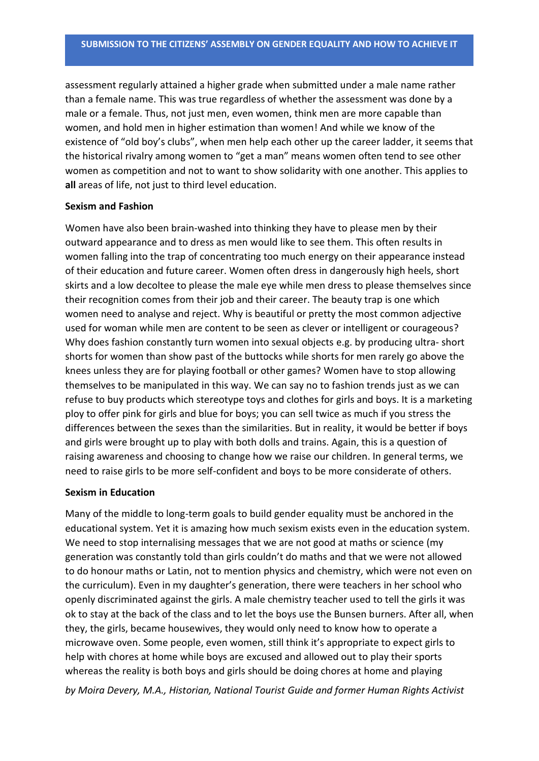assessment regularly attained a higher grade when submitted under a male name rather than a female name. This was true regardless of whether the assessment was done by a male or a female. Thus, not just men, even women, think men are more capable than women, and hold men in higher estimation than women! And while we know of the existence of "old boy's clubs", when men help each other up the career ladder, it seems that the historical rivalry among women to "get a man" means women often tend to see other women as competition and not to want to show solidarity with one another. This applies to **all** areas of life, not just to third level education.

### **Sexism and Fashion**

Women have also been brain-washed into thinking they have to please men by their outward appearance and to dress as men would like to see them. This often results in women falling into the trap of concentrating too much energy on their appearance instead of their education and future career. Women often dress in dangerously high heels, short skirts and a low decoltee to please the male eye while men dress to please themselves since their recognition comes from their job and their career. The beauty trap is one which women need to analyse and reject. Why is beautiful or pretty the most common adjective used for woman while men are content to be seen as clever or intelligent or courageous? Why does fashion constantly turn women into sexual objects e.g. by producing ultra- short shorts for women than show past of the buttocks while shorts for men rarely go above the knees unless they are for playing football or other games? Women have to stop allowing themselves to be manipulated in this way. We can say no to fashion trends just as we can refuse to buy products which stereotype toys and clothes for girls and boys. It is a marketing ploy to offer pink for girls and blue for boys; you can sell twice as much if you stress the differences between the sexes than the similarities. But in reality, it would be better if boys and girls were brought up to play with both dolls and trains. Again, this is a question of raising awareness and choosing to change how we raise our children. In general terms, we need to raise girls to be more self-confident and boys to be more considerate of others.

### **Sexism in Education**

Many of the middle to long-term goals to build gender equality must be anchored in the educational system. Yet it is amazing how much sexism exists even in the education system. We need to stop internalising messages that we are not good at maths or science (my generation was constantly told than girls couldn't do maths and that we were not allowed to do honour maths or Latin, not to mention physics and chemistry, which were not even on the curriculum). Even in my daughter's generation, there were teachers in her school who openly discriminated against the girls. A male chemistry teacher used to tell the girls it was ok to stay at the back of the class and to let the boys use the Bunsen burners. After all, when they, the girls, became housewives, they would only need to know how to operate a microwave oven. Some people, even women, still think it's appropriate to expect girls to help with chores at home while boys are excused and allowed out to play their sports whereas the reality is both boys and girls should be doing chores at home and playing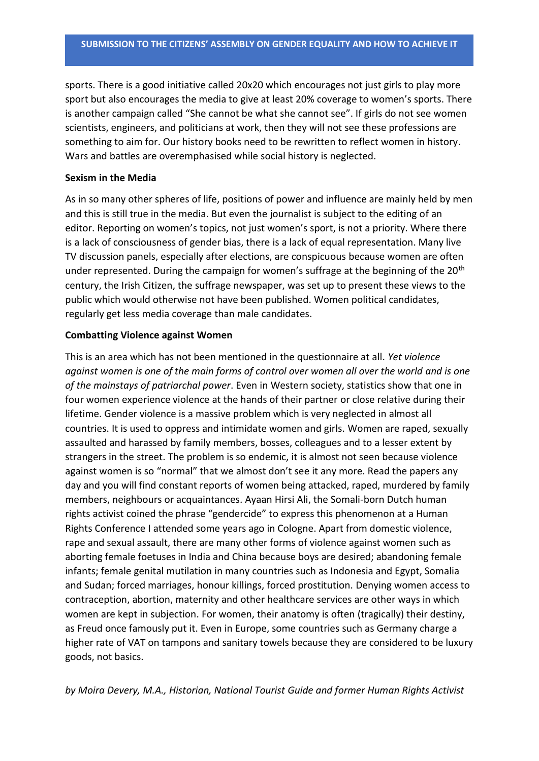sports. There is a good initiative called 20x20 which encourages not just girls to play more sport but also encourages the media to give at least 20% coverage to women's sports. There is another campaign called "She cannot be what she cannot see". If girls do not see women scientists, engineers, and politicians at work, then they will not see these professions are something to aim for. Our history books need to be rewritten to reflect women in history. Wars and battles are overemphasised while social history is neglected.

#### **Sexism in the Media**

As in so many other spheres of life, positions of power and influence are mainly held by men and this is still true in the media. But even the journalist is subject to the editing of an editor. Reporting on women's topics, not just women's sport, is not a priority. Where there is a lack of consciousness of gender bias, there is a lack of equal representation. Many live TV discussion panels, especially after elections, are conspicuous because women are often under represented. During the campaign for women's suffrage at the beginning of the 20<sup>th</sup> century, the Irish Citizen, the suffrage newspaper, was set up to present these views to the public which would otherwise not have been published. Women political candidates, regularly get less media coverage than male candidates.

# **Combatting Violence against Women**

This is an area which has not been mentioned in the questionnaire at all. *Yet violence against women is one of the main forms of control over women all over the world and is one of the mainstays of patriarchal power*. Even in Western society, statistics show that one in four women experience violence at the hands of their partner or close relative during their lifetime. Gender violence is a massive problem which is very neglected in almost all countries. It is used to oppress and intimidate women and girls. Women are raped, sexually assaulted and harassed by family members, bosses, colleagues and to a lesser extent by strangers in the street. The problem is so endemic, it is almost not seen because violence against women is so "normal" that we almost don't see it any more. Read the papers any day and you will find constant reports of women being attacked, raped, murdered by family members, neighbours or acquaintances. Ayaan Hirsi Ali, the Somali-born Dutch human rights activist coined the phrase "gendercide" to express this phenomenon at a Human Rights Conference I attended some years ago in Cologne. Apart from domestic violence, rape and sexual assault, there are many other forms of violence against women such as aborting female foetuses in India and China because boys are desired; abandoning female infants; female genital mutilation in many countries such as Indonesia and Egypt, Somalia and Sudan; forced marriages, honour killings, forced prostitution. Denying women access to contraception, abortion, maternity and other healthcare services are other ways in which women are kept in subjection. For women, their anatomy is often (tragically) their destiny, as Freud once famously put it. Even in Europe, some countries such as Germany charge a higher rate of VAT on tampons and sanitary towels because they are considered to be luxury goods, not basics.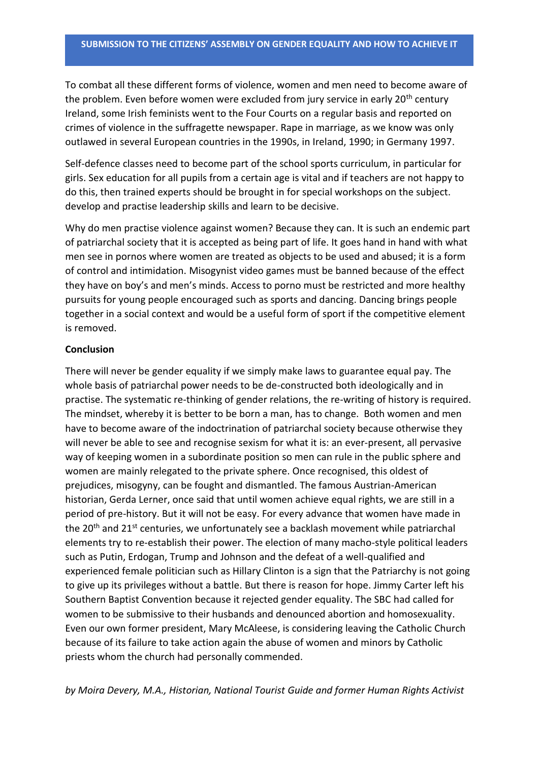To combat all these different forms of violence, women and men need to become aware of the problem. Even before women were excluded from jury service in early 20<sup>th</sup> century Ireland, some Irish feminists went to the Four Courts on a regular basis and reported on crimes of violence in the suffragette newspaper. Rape in marriage, as we know was only outlawed in several European countries in the 1990s, in Ireland, 1990; in Germany 1997.

Self-defence classes need to become part of the school sports curriculum, in particular for girls. Sex education for all pupils from a certain age is vital and if teachers are not happy to do this, then trained experts should be brought in for special workshops on the subject. develop and practise leadership skills and learn to be decisive.

Why do men practise violence against women? Because they can. It is such an endemic part of patriarchal society that it is accepted as being part of life. It goes hand in hand with what men see in pornos where women are treated as objects to be used and abused; it is a form of control and intimidation. Misogynist video games must be banned because of the effect they have on boy's and men's minds. Access to porno must be restricted and more healthy pursuits for young people encouraged such as sports and dancing. Dancing brings people together in a social context and would be a useful form of sport if the competitive element is removed.

# **Conclusion**

There will never be gender equality if we simply make laws to guarantee equal pay. The whole basis of patriarchal power needs to be de-constructed both ideologically and in practise. The systematic re-thinking of gender relations, the re-writing of history is required. The mindset, whereby it is better to be born a man, has to change. Both women and men have to become aware of the indoctrination of patriarchal society because otherwise they will never be able to see and recognise sexism for what it is: an ever-present, all pervasive way of keeping women in a subordinate position so men can rule in the public sphere and women are mainly relegated to the private sphere. Once recognised, this oldest of prejudices, misogyny, can be fought and dismantled. The famous Austrian-American historian, Gerda Lerner, once said that until women achieve equal rights, we are still in a period of pre-history. But it will not be easy. For every advance that women have made in the 20<sup>th</sup> and 21<sup>st</sup> centuries, we unfortunately see a backlash movement while patriarchal elements try to re-establish their power. The election of many macho-style political leaders such as Putin, Erdogan, Trump and Johnson and the defeat of a well-qualified and experienced female politician such as Hillary Clinton is a sign that the Patriarchy is not going to give up its privileges without a battle. But there is reason for hope. Jimmy Carter left his Southern Baptist Convention because it rejected gender equality. The SBC had called for women to be submissive to their husbands and denounced abortion and homosexuality. Even our own former president, Mary McAleese, is considering leaving the Catholic Church because of its failure to take action again the abuse of women and minors by Catholic priests whom the church had personally commended.